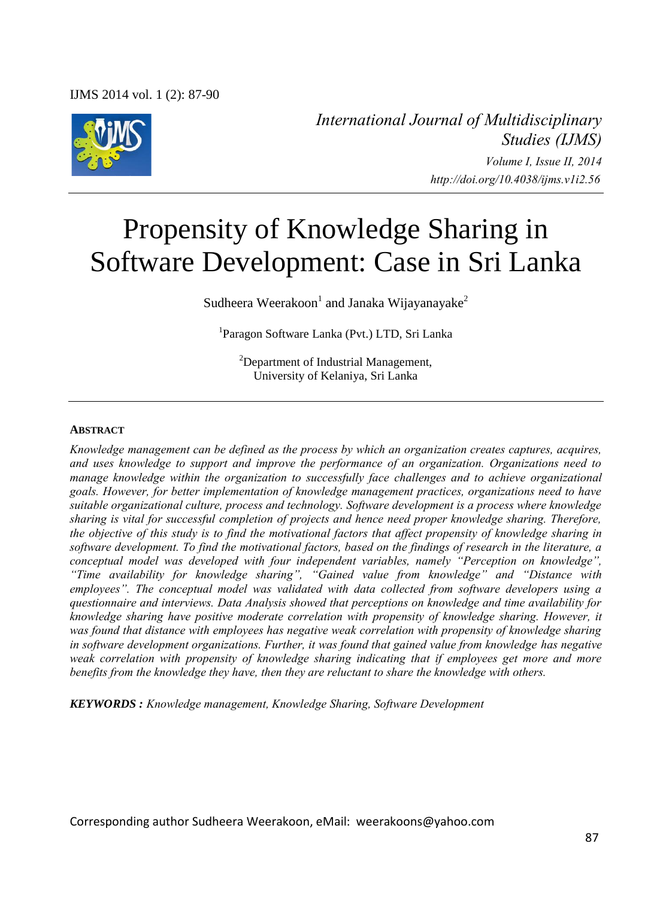IJMS 2014 vol. 1 (2): 87-90



*International Journal of Multidisciplinary Studies (IJMS) Volume I, Issue II, 2014 http://doi.org/10.4038/ijms.v1i2.56* 

# Propensity of Knowledge Sharing in Software Development: Case in Sri Lanka

Sudheera Weerakoon<sup>1</sup> and Janaka Wijayanayake<sup>2</sup>

1 Paragon Software Lanka (Pvt.) LTD, Sri Lanka

<sup>2</sup>Department of Industrial Management, University of Kelaniya, Sri Lanka

#### **ABSTRACT**

*Knowledge management can be defined as the process by which an organization creates captures, acquires, and uses knowledge to support and improve the performance of an organization. Organizations need to manage knowledge within the organization to successfully face challenges and to achieve organizational goals. However, for better implementation of knowledge management practices, organizations need to have suitable organizational culture, process and technology. Software development is a process where knowledge sharing is vital for successful completion of projects and hence need proper knowledge sharing. Therefore, the objective of this study is to find the motivational factors that affect propensity of knowledge sharing in software development. To find the motivational factors, based on the findings of research in the literature, a conceptual model was developed with four independent variables, namely "Perception on knowledge", "Time availability for knowledge sharing", "Gained value from knowledge" and "Distance with employees". The conceptual model was validated with data collected from software developers using a questionnaire and interviews. Data Analysis showed that perceptions on knowledge and time availability for knowledge sharing have positive moderate correlation with propensity of knowledge sharing. However, it was found that distance with employees has negative weak correlation with propensity of knowledge sharing in software development organizations. Further, it was found that gained value from knowledge has negative weak correlation with propensity of knowledge sharing indicating that if employees get more and more benefits from the knowledge they have, then they are reluctant to share the knowledge with others.* 

*KEYWORDS : Knowledge management, Knowledge Sharing, Software Development* 

Corresponding author Sudheera Weerakoon, eMail: weerakoons@yahoo.com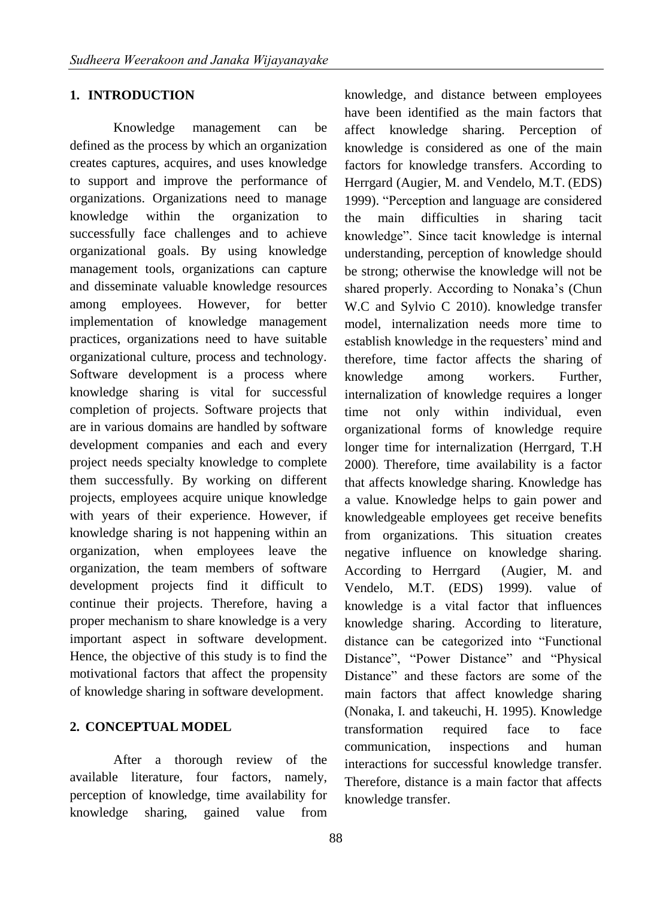#### **1. INTRODUCTION**

Knowledge management can be defined as the process by which an organization creates captures, acquires, and uses knowledge to support and improve the performance of organizations. Organizations need to manage knowledge within the organization to successfully face challenges and to achieve organizational goals. By using knowledge management tools, organizations can capture and disseminate valuable knowledge resources among employees. However, for better implementation of knowledge management practices, organizations need to have suitable organizational culture, process and technology. Software development is a process where knowledge sharing is vital for successful completion of projects. Software projects that are in various domains are handled by software development companies and each and every project needs specialty knowledge to complete them successfully. By working on different projects, employees acquire unique knowledge with years of their experience. However, if knowledge sharing is not happening within an organization, when employees leave the organization, the team members of software development projects find it difficult to continue their projects. Therefore, having a proper mechanism to share knowledge is a very important aspect in software development. Hence, the objective of this study is to find the motivational factors that affect the propensity of knowledge sharing in software development.

## **2. CONCEPTUAL MODEL**

After a thorough review of the available literature, four factors, namely, perception of knowledge, time availability for knowledge sharing, gained value from knowledge, and distance between employees have been identified as the main factors that affect knowledge sharing. Perception of knowledge is considered as one of the main factors for knowledge transfers. According to Herrgard (Augier, M. and Vendelo, M.T. (EDS) 1999). "Perception and language are considered the main difficulties in sharing tacit knowledge". Since tacit knowledge is internal understanding, perception of knowledge should be strong; otherwise the knowledge will not be shared properly. According to Nonaka's (Chun W.C and Sylvio C 2010). knowledge transfer model, internalization needs more time to establish knowledge in the requesters' mind and therefore, time factor affects the sharing of knowledge among workers. Further, internalization of knowledge requires a longer time not only within individual, even organizational forms of knowledge require longer time for internalization (Herrgard, T.H 2000). Therefore, time availability is a factor that affects knowledge sharing. Knowledge has a value. Knowledge helps to gain power and knowledgeable employees get receive benefits from organizations. This situation creates negative influence on knowledge sharing. According to Herrgard (Augier, M. and Vendelo, M.T. (EDS) 1999). value of knowledge is a vital factor that influences knowledge sharing. According to literature, distance can be categorized into "Functional Distance", "Power Distance" and "Physical Distance" and these factors are some of the main factors that affect knowledge sharing (Nonaka, I. and takeuchi, H. 1995). Knowledge transformation required face to face communication, inspections and human interactions for successful knowledge transfer. Therefore, distance is a main factor that affects knowledge transfer.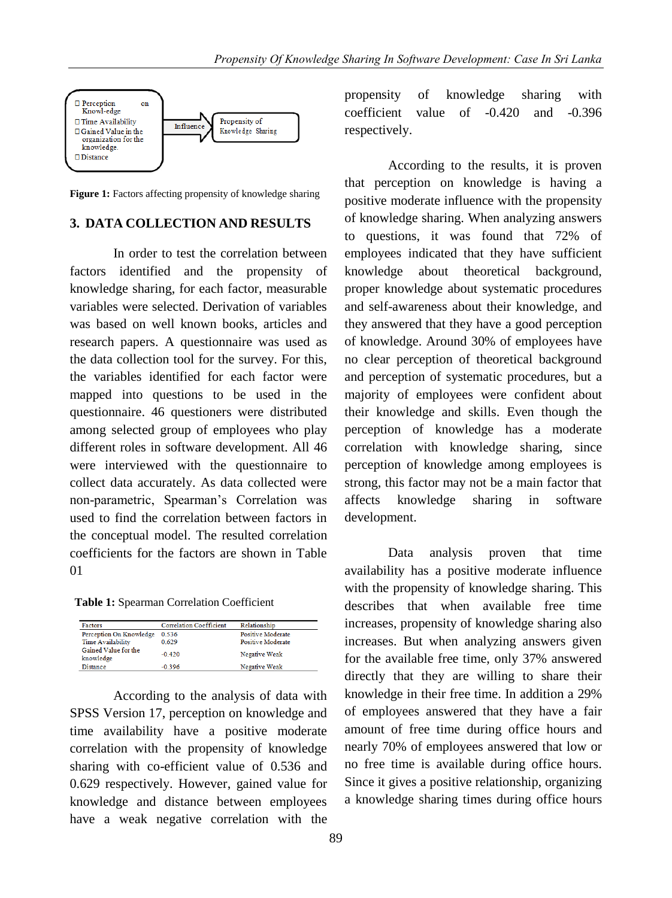

**Figure 1:** Factors affecting propensity of knowledge sharing

# **3. DATA COLLECTION AND RESULTS**

In order to test the correlation between factors identified and the propensity of knowledge sharing, for each factor, measurable variables were selected. Derivation of variables was based on well known books, articles and research papers. A questionnaire was used as the data collection tool for the survey. For this, the variables identified for each factor were mapped into questions to be used in the questionnaire. 46 questioners were distributed among selected group of employees who play different roles in software development. All 46 were interviewed with the questionnaire to collect data accurately. As data collected were non-parametric, Spearman's Correlation was used to find the correlation between factors in the conceptual model. The resulted correlation coefficients for the factors are shown in Table 01

**Table 1:** Spearman Correlation Coefficient

| <b>Factors</b>                    | <b>Correlation Coefficient</b> | Relationship             |
|-----------------------------------|--------------------------------|--------------------------|
| Perception On Knowledge           | 0.536                          | <b>Positive Moderate</b> |
| <b>Time Availability</b>          | 0.629                          | Positive Moderate        |
| Gained Value for the<br>knowledge | $-0.420$                       | Negative Weak            |
| <b>Distance</b>                   | $-0.396$                       | Negative Weak            |

According to the analysis of data with SPSS Version 17, perception on knowledge and time availability have a positive moderate correlation with the propensity of knowledge sharing with co-efficient value of 0.536 and 0.629 respectively. However, gained value for knowledge and distance between employees have a weak negative correlation with the propensity of knowledge sharing with coefficient value of -0.420 and -0.396 respectively.

According to the results, it is proven that perception on knowledge is having a positive moderate influence with the propensity of knowledge sharing. When analyzing answers to questions, it was found that 72% of employees indicated that they have sufficient knowledge about theoretical background, proper knowledge about systematic procedures and self-awareness about their knowledge, and they answered that they have a good perception of knowledge. Around 30% of employees have no clear perception of theoretical background and perception of systematic procedures, but a majority of employees were confident about their knowledge and skills. Even though the perception of knowledge has a moderate correlation with knowledge sharing, since perception of knowledge among employees is strong, this factor may not be a main factor that affects knowledge sharing in software development.

Data analysis proven that time availability has a positive moderate influence with the propensity of knowledge sharing. This describes that when available free time increases, propensity of knowledge sharing also increases. But when analyzing answers given for the available free time, only 37% answered directly that they are willing to share their knowledge in their free time. In addition a 29% of employees answered that they have a fair amount of free time during office hours and nearly 70% of employees answered that low or no free time is available during office hours. Since it gives a positive relationship, organizing a knowledge sharing times during office hours